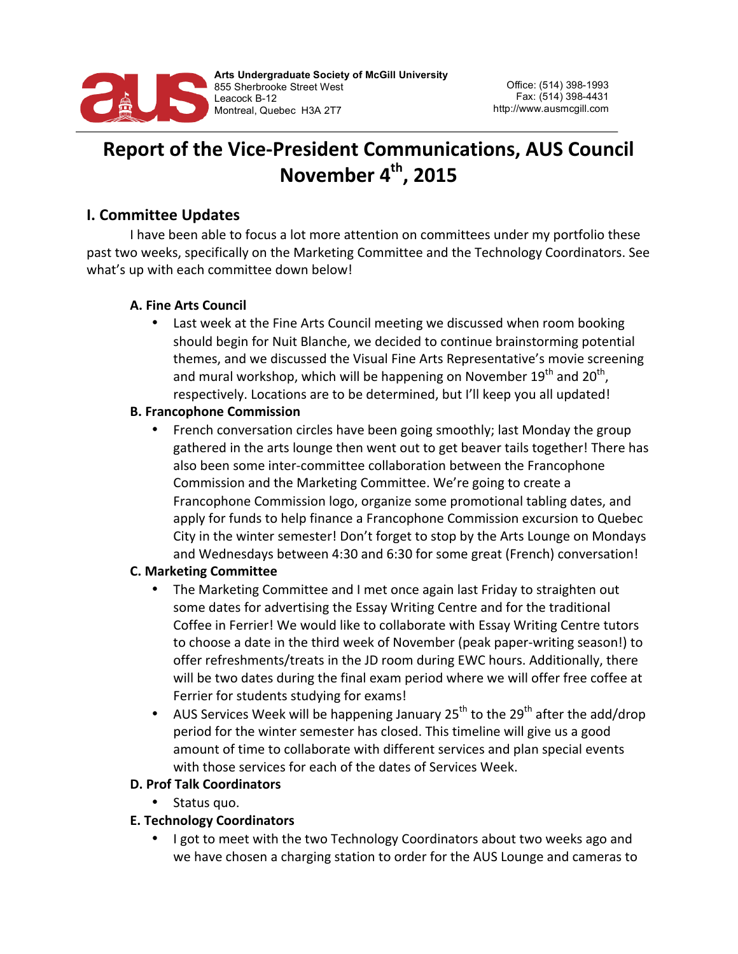

# **Report of the Vice-President Communications, AUS Council** November 4<sup>th</sup>, 2015

# **I. Committee Updates**

I have been able to focus a lot more attention on committees under my portfolio these past two weeks, specifically on the Marketing Committee and the Technology Coordinators. See what's up with each committee down below!

## **A. Fine Arts Council**

• Last week at the Fine Arts Council meeting we discussed when room booking should begin for Nuit Blanche, we decided to continue brainstorming potential themes, and we discussed the Visual Fine Arts Representative's movie screening and mural workshop, which will be happening on November  $19<sup>th</sup>$  and  $20<sup>th</sup>$ , respectively. Locations are to be determined, but I'll keep you all updated!

#### **B. Francophone Commission**

French conversation circles have been going smoothly; last Monday the group gathered in the arts lounge then went out to get beaver tails together! There has also been some inter-committee collaboration between the Francophone Commission and the Marketing Committee. We're going to create a Francophone Commission logo, organize some promotional tabling dates, and apply for funds to help finance a Francophone Commission excursion to Quebec City in the winter semester! Don't forget to stop by the Arts Lounge on Mondays and Wednesdays between 4:30 and 6:30 for some great (French) conversation!

#### **C. Marketing Committee**

- The Marketing Committee and I met once again last Friday to straighten out some dates for advertising the Essay Writing Centre and for the traditional Coffee in Ferrier! We would like to collaborate with Essay Writing Centre tutors to choose a date in the third week of November (peak paper-writing season!) to offer refreshments/treats in the JD room during EWC hours. Additionally, there will be two dates during the final exam period where we will offer free coffee at Ferrier for students studying for exams!
- AUS Services Week will be happening January  $25^{th}$  to the  $29^{th}$  after the add/drop period for the winter semester has closed. This timeline will give us a good amount of time to collaborate with different services and plan special events with those services for each of the dates of Services Week.

#### **D. Prof Talk Coordinators**

• Status quo.

# **E. Technology Coordinators**

I got to meet with the two Technology Coordinators about two weeks ago and we have chosen a charging station to order for the AUS Lounge and cameras to